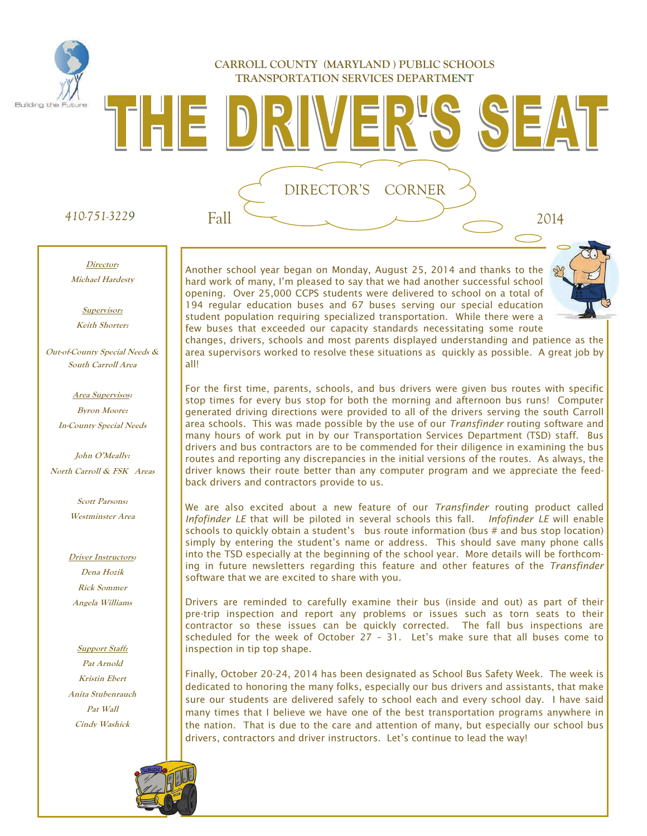#### **CARROLL COUNTY (MARYLAND ) PUBLIC SCHOOLS TRANSPORTATION SERVICES DEPARTMENT**

### *410-751-3229* Fall 2014

 $\begin{bmatrix} 1 & 1 \\ 1 & 1 \end{bmatrix} \begin{bmatrix} 2 & 1 \\ 1 & 1 \end{bmatrix}$ 

Building the

#### **Director: Michael Hardesty**

**Supervisor:** 

**Keith Shorter:** 

**Out-of-County Special Needs & South Carroll Area** 

> **Area Supervisos: Byron Moore: In-County Special Needs**

**John O'Meally: North Carroll & FSK Areas** 

> **Scott Parsons: Westminster Area**

**Driver Instructors: Dena Hozik Rick Sommer Angela Williams** 

**Support Staff: Pat Arnold Kristin Ebert Anita Stubenrauch Pat Wall Cindy Washick** 



Another school year began on Monday, August 25, 2014 and thanks to the hard work of many, I'm pleased to say that we had another successful school opening. Over 25,000 CCPS students were delivered to school on a total of 194 regular education buses and 67 buses serving our special education student population requiring specialized transportation. While there were a few buses that exceeded our capacity standards necessitating some route

DIRECTOR'S CORNER



SEAT-

changes, drivers, schools and most parents displayed understanding and patience as the area supervisors worked to resolve these situations as quickly as possible. A great job by all!

For the first time, parents, schools, and bus drivers were given bus routes with specific stop times for every bus stop for both the morning and afternoon bus runs! Computer generated driving directions were provided to all of the drivers serving the south Carroll area schools. This was made possible by the use of our *Transfinder* routing software and many hours of work put in by our Transportation Services Department (TSD) staff. Bus drivers and bus contractors are to be commended for their diligence in examining the bus routes and reporting any discrepancies in the initial versions of the routes. As always, the driver knows their route better than any computer program and we appreciate the feedback drivers and contractors provide to us.

We are also excited about a new feature of our *Transfinder* routing product called *Infofinder LE* that will be piloted in several schools this fall. *Infofinder LE* will enable schools to quickly obtain a student's bus route information (bus # and bus stop location) simply by entering the student's name or address. This should save many phone calls into the TSD especially at the beginning of the school year. More details will be forthcoming in future newsletters regarding this feature and other features of the *Transfinder* software that we are excited to share with you.

Drivers are reminded to carefully examine their bus (inside and out) as part of their pre-trip inspection and report any problems or issues such as torn seats to their contractor so these issues can be quickly corrected. The fall bus inspections are scheduled for the week of October 27 – 31. Let's make sure that all buses come to inspection in tip top shape.

Finally, October 20-24, 2014 has been designated as School Bus Safety Week. The week is dedicated to honoring the many folks, especially our bus drivers and assistants, that make sure our students are delivered safely to school each and every school day. I have said many times that I believe we have one of the best transportation programs anywhere in the nation. That is due to the care and attention of many, but especially our school bus drivers, contractors and driver instructors. Let's continue to lead the way!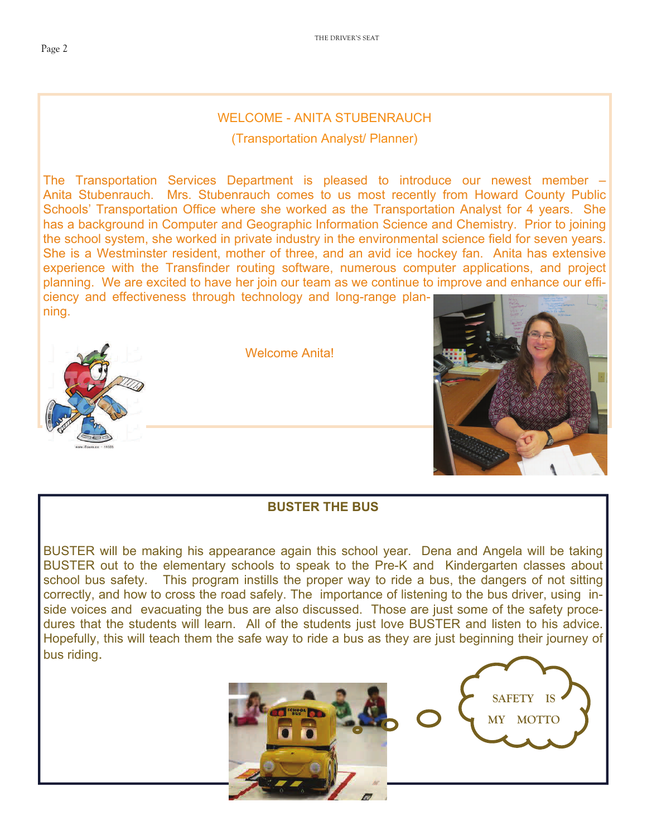### WELCOME - ANITA STUBENRAUCH

(Transportation Analyst/ Planner)

The Transportation Services Department is pleased to introduce our newest member – Anita Stubenrauch. Mrs. Stubenrauch comes to us most recently from Howard County Public Schools' Transportation Office where she worked as the Transportation Analyst for 4 years. She has a background in Computer and Geographic Information Science and Chemistry. Prior to joining the school system, she worked in private industry in the environmental science field for seven years. She is a Westminster resident, mother of three, and an avid ice hockey fan. Anita has extensive experience with the Transfinder routing software, numerous computer applications, and project planning. We are excited to have her join our team as we continue to improve and enhance our efficiency and effectiveness through technology and long-range planning.



Welcome Anita!



### **BUSTER THE BUS**

BUSTER will be making his appearance again this school year. Dena and Angela will be taking BUSTER out to the elementary schools to speak to the Pre-K and Kindergarten classes about school bus safety. This program instills the proper way to ride a bus, the dangers of not sitting correctly, and how to cross the road safely. The importance of listening to the bus driver, using inside voices and evacuating the bus are also discussed. Those are just some of the safety procedures that the students will learn. All of the students just love BUSTER and listen to his advice. Hopefully, this will teach them the safe way to ride a bus as they are just beginning their journey of bus riding.



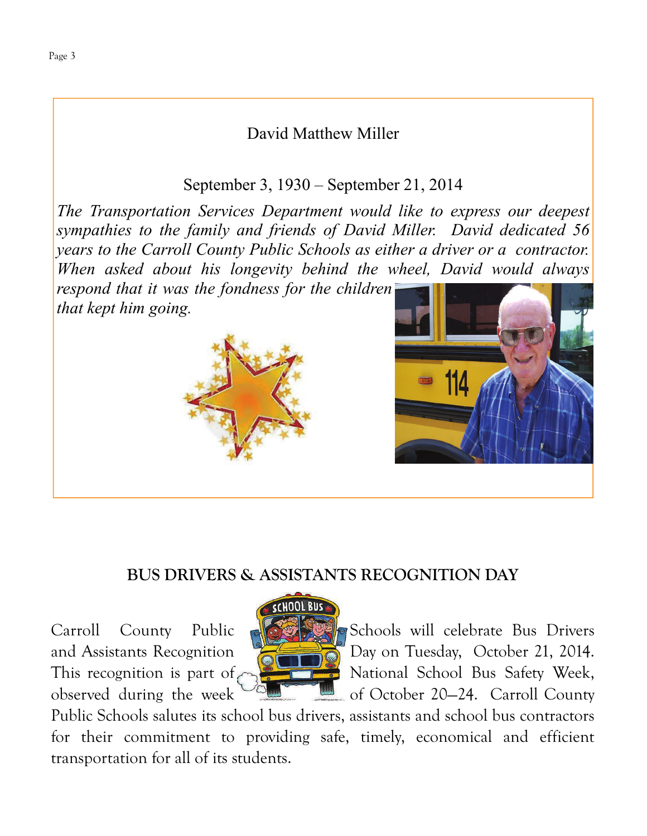# David Matthew Miller

September 3, 1930 – September 21, 2014

*The Transportation Services Department would like to express our deepest sympathies to the family and friends of David Miller. David dedicated 56 years to the Carroll County Public Schools as either a driver or a contractor. When asked about his longevity behind the wheel, David would always respond that it was the fondness for the children* 

*that kept him going.* 





# **BUS DRIVERS & ASSISTANTS RECOGNITION DAY**



Carroll County Public Strate Schools will celebrate Bus Drivers and Assistants Recognition  $\sqrt{2}$  Day on Tuesday, October 21, 2014. This recognition is part of  $\sim$   $\sim$  National School Bus Safety Week, observed during the week  $\sim$   $\approx$  of October 20–24. Carroll County

Public Schools salutes its school bus drivers, assistants and school bus contractors for their commitment to providing safe, timely, economical and efficient transportation for all of its students.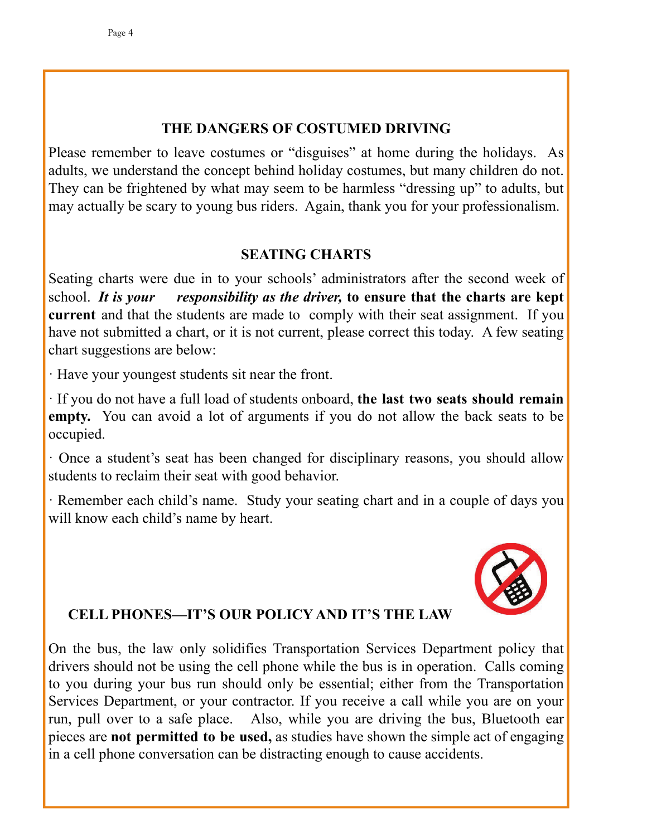## **THE DANGERS OF COSTUMED DRIVING**

Please remember to leave costumes or "disguises" at home during the holidays. As adults, we understand the concept behind holiday costumes, but many children do not. They can be frightened by what may seem to be harmless "dressing up" to adults, but may actually be scary to young bus riders. Again, thank you for your professionalism.

## **SEATING CHARTS**

Seating charts were due in to your schools' administrators after the second week of school. *It is your responsibility as the driver,* **to ensure that the charts are kept current** and that the students are made to comply with their seat assignment. If you have not submitted a chart, or it is not current, please correct this today. A few seating chart suggestions are below:

· Have your youngest students sit near the front.

· If you do not have a full load of students onboard, **the last two seats should remain empty.** You can avoid a lot of arguments if you do not allow the back seats to be occupied.

· Once a student's seat has been changed for disciplinary reasons, you should allow students to reclaim their seat with good behavior.

· Remember each child's name. Study your seating chart and in a couple of days you will know each child's name by heart.



## **CELL PHONES—IT'S OUR POLICY AND IT'S THE LAW**

On the bus, the law only solidifies Transportation Services Department policy that drivers should not be using the cell phone while the bus is in operation. Calls coming to you during your bus run should only be essential; either from the Transportation Services Department, or your contractor. If you receive a call while you are on your run, pull over to a safe place. Also, while you are driving the bus, Bluetooth ear pieces are **not permitted to be used,** as studies have shown the simple act of engaging in a cell phone conversation can be distracting enough to cause accidents.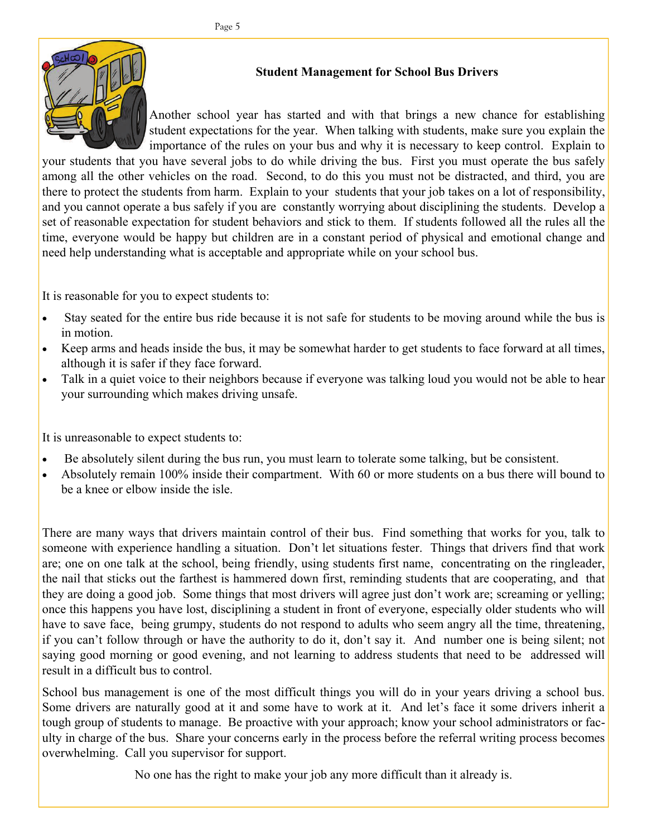

### **Student Management for School Bus Drivers**

Another school year has started and with that brings a new chance for establishing student expectations for the year. When talking with students, make sure you explain the importance of the rules on your bus and why it is necessary to keep control. Explain to

your students that you have several jobs to do while driving the bus. First you must operate the bus safely among all the other vehicles on the road. Second, to do this you must not be distracted, and third, you are there to protect the students from harm. Explain to your students that your job takes on a lot of responsibility, and you cannot operate a bus safely if you are constantly worrying about disciplining the students. Develop a set of reasonable expectation for student behaviors and stick to them. If students followed all the rules all the time, everyone would be happy but children are in a constant period of physical and emotional change and need help understanding what is acceptable and appropriate while on your school bus.

It is reasonable for you to expect students to:

- Stay seated for the entire bus ride because it is not safe for students to be moving around while the bus is in motion.
- Keep arms and heads inside the bus, it may be somewhat harder to get students to face forward at all times, although it is safer if they face forward.
- Talk in a quiet voice to their neighbors because if everyone was talking loud you would not be able to hear your surrounding which makes driving unsafe.

It is unreasonable to expect students to:

- Be absolutely silent during the bus run, you must learn to tolerate some talking, but be consistent.
- Absolutely remain 100% inside their compartment. With 60 or more students on a bus there will bound to be a knee or elbow inside the isle.

There are many ways that drivers maintain control of their bus. Find something that works for you, talk to someone with experience handling a situation. Don't let situations fester. Things that drivers find that work are; one on one talk at the school, being friendly, using students first name, concentrating on the ringleader, the nail that sticks out the farthest is hammered down first, reminding students that are cooperating, and that they are doing a good job. Some things that most drivers will agree just don't work are; screaming or yelling; once this happens you have lost, disciplining a student in front of everyone, especially older students who will have to save face, being grumpy, students do not respond to adults who seem angry all the time, threatening, if you can't follow through or have the authority to do it, don't say it. And number one is being silent; not saying good morning or good evening, and not learning to address students that need to be addressed will result in a difficult bus to control.

School bus management is one of the most difficult things you will do in your years driving a school bus. Some drivers are naturally good at it and some have to work at it. And let's face it some drivers inherit a tough group of students to manage. Be proactive with your approach; know your school administrators or faculty in charge of the bus. Share your concerns early in the process before the referral writing process becomes overwhelming. Call you supervisor for support.

No one has the right to make your job any more difficult than it already is.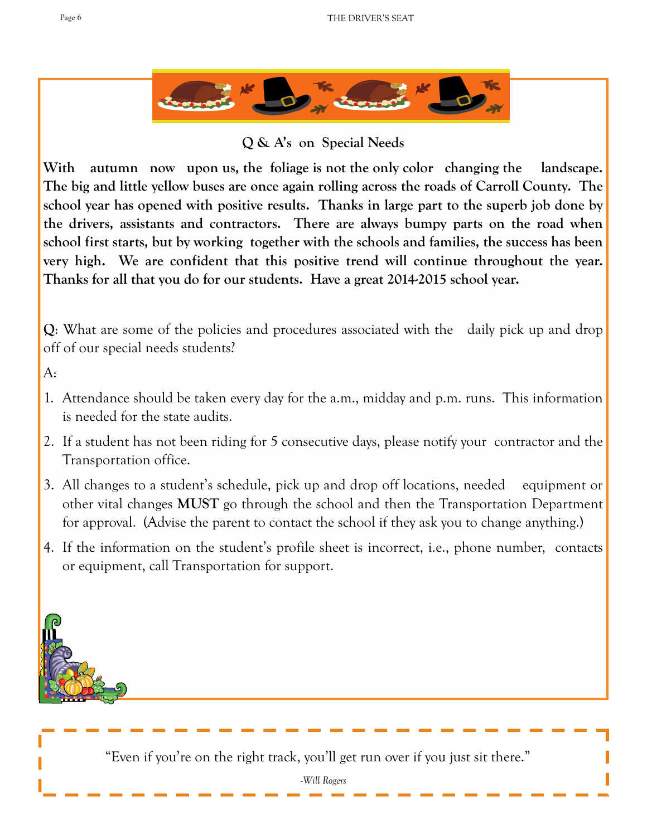

**Q & A's on Special Needs** 

**With autumn now upon us, the foliage is not the only color changing the landscape. The big and little yellow buses are once again rolling across the roads of Carroll County. The school year has opened with positive results. Thanks in large part to the superb job done by the drivers, assistants and contractors. There are always bumpy parts on the road when school first starts, but by working together with the schools and families, the success has been very high. We are confident that this positive trend will continue throughout the year. Thanks for all that you do for our students. Have a great 2014-2015 school year.** 

**Q**: What are some of the policies and procedures associated with the daily pick up and drop off of our special needs students?

 $A:$ 

- 1. Attendance should be taken every day for the a.m., midday and p.m. runs. This information is needed for the state audits.
- 2. If a student has not been riding for 5 consecutive days, please notify your contractor and the Transportation office.
- 3. All changes to a student's schedule, pick up and drop off locations, needed equipment or other vital changes **MUST** go through the school and then the Transportation Department for approval. (Advise the parent to contact the school if they ask you to change anything.)
- 4. If the information on the student's profile sheet is incorrect, i.e., phone number, contacts or equipment, call Transportation for support.

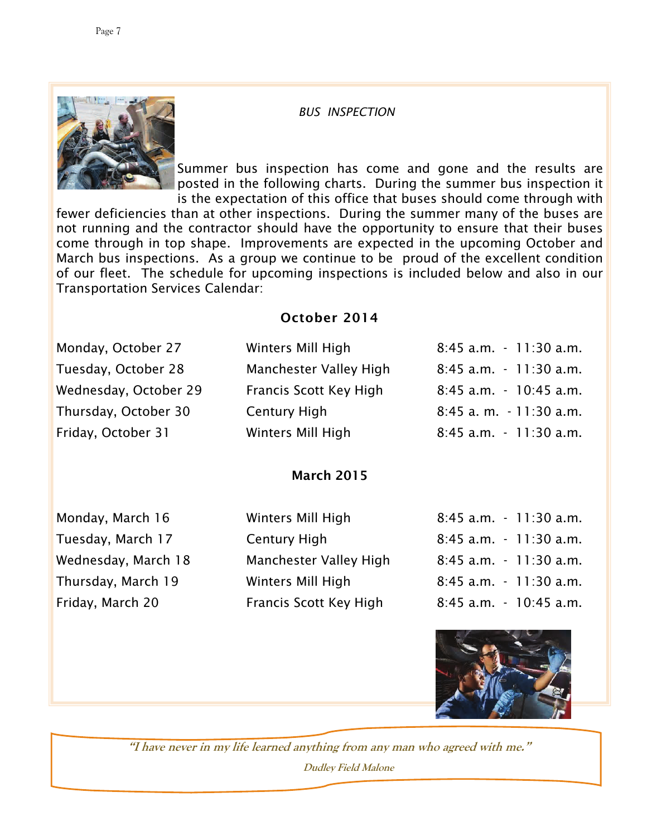#### *BUS INSPECTION*



Summer bus inspection has come and gone and the results are posted in the following charts. During the summer bus inspection it is the expectation of this office that buses should come through with

fewer deficiencies than at other inspections. During the summer many of the buses are not running and the contractor should have the opportunity to ensure that their buses come through in top shape. Improvements are expected in the upcoming October and March bus inspections. As a group we continue to be proud of the excellent condition of our fleet. The schedule for upcoming inspections is included below and also in our Transportation Services Calendar:

### October 2014

| Monday, October 27    | Winters Mill High      | 8:45 a.m. - 11:30 a.m. |
|-----------------------|------------------------|------------------------|
| Tuesday, October 28   | Manchester Valley High | 8:45 a.m. - 11:30 a.m. |
| Wednesday, October 29 | Francis Scott Key High | 8:45 a.m. - 10:45 a.m. |
| Thursday, October 30  | <b>Century High</b>    | 8:45 a.m. - 11:30 a.m. |
| Friday, October 31    | Winters Mill High      | 8:45 a.m. - 11:30 a.m. |
|                       |                        |                        |

#### March 2015

| Monday, March 16    |
|---------------------|
| Tuesday, March 17   |
| Wednesday, March 18 |
| Thursday, March 19  |
| Friday, March 20    |

| Monday, March T6    | Winters Mill High      | 8:45 a.m. - 11:30 a.m.    |
|---------------------|------------------------|---------------------------|
| Tuesday, March 17   | Century High           | 8:45 a.m. - 11:30 a.m.    |
| Wednesday, March 18 | Manchester Valley High | 8:45 a.m. - 11:30 a.m.    |
| Thursday, March 19  | Winters Mill High      | 8:45 a.m. - 11:30 a.m.    |
| Friday, March 20    | Francis Scott Key High | $8:45$ a.m. $-10:45$ a.m. |

| Monday, March 16    | Winters Mill High             | $8:45$ a.m. $-11:30$ a.m. |
|---------------------|-------------------------------|---------------------------|
| Tuesday, March 17   | Century High                  | $8:45$ a.m. $-11:30$ a.m. |
| Wednesday, March 18 | <b>Manchester Valley High</b> | 8:45 a.m. - 11:30 a.m.    |
| Thursday, March 19  | Winters Mill High             | 8:45 a.m. - 11:30 a.m.    |
| Friday, March 20    | Francis Scott Key High        | $8:45$ a.m. $-10:45$ a.m. |



**"I have never in my life learned anything from any man who agreed with me." Dudley Field Malone**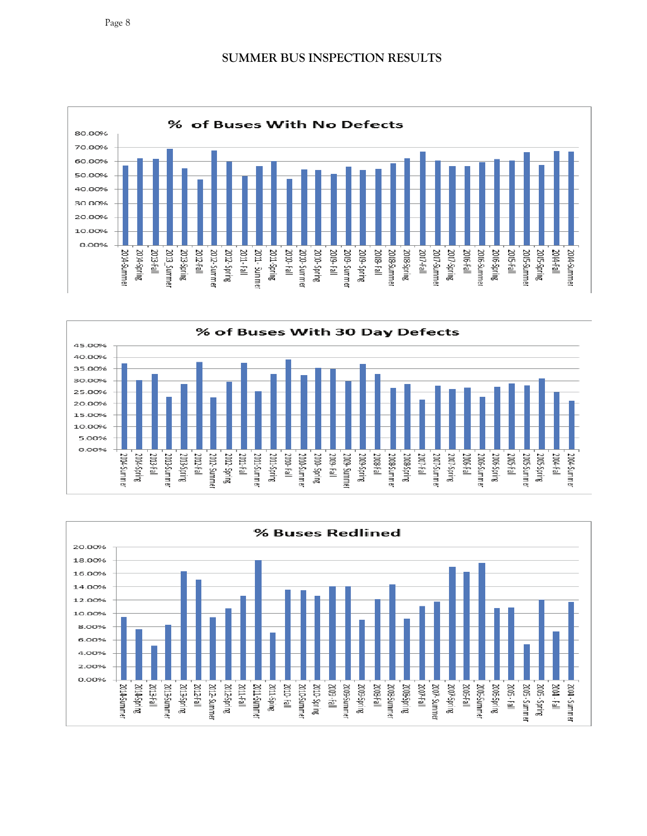**SUMMER BUS INSPECTION RESULTS** 







Page 8